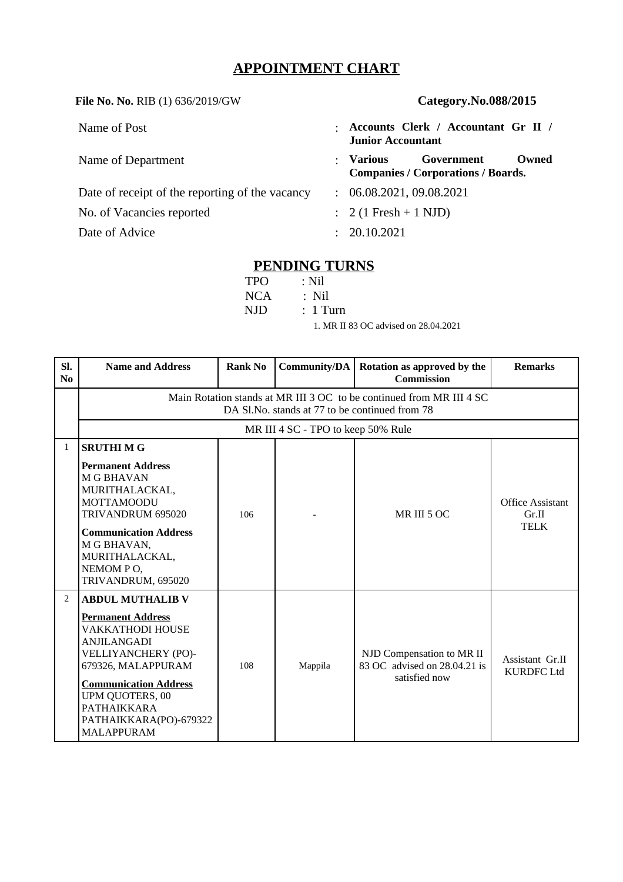# **APPOINTMENT CHART**

**File No. No.** RIB (1) 636/2019/GW **Category.No.088/2015**

| Name of Post                                    |               | Accounts Clerk / Accountant Gr II /<br><b>Junior Accountant</b>               |
|-------------------------------------------------|---------------|-------------------------------------------------------------------------------|
| Name of Department                              |               | Government<br>Owned<br>: Various<br><b>Companies / Corporations / Boards.</b> |
| Date of receipt of the reporting of the vacancy | $\mathcal{L}$ | 06.08.2021, 09.08.2021                                                        |
| No. of Vacancies reported                       |               | $\therefore$ 2 (1 Fresh + 1 NJD)                                              |
| Date of Advice                                  |               | : 20.10.2021                                                                  |

## **PENDING TURNS**

| TPO – | :Nil                                 |
|-------|--------------------------------------|
|       | $NCA$ : Nil                          |
| NJD - | $\therefore$ 1 Turn                  |
|       | 1. MR II 83 OC advised on 28.04.2021 |

| SI.<br>$\bf No$ | <b>Name and Address</b>                                                                                                                                                                                                                                                   | <b>Rank No</b> | Community/DA | Rotation as approved by the<br><b>Commission</b>                           | <b>Remarks</b>                                  |  |  |  |
|-----------------|---------------------------------------------------------------------------------------------------------------------------------------------------------------------------------------------------------------------------------------------------------------------------|----------------|--------------|----------------------------------------------------------------------------|-------------------------------------------------|--|--|--|
|                 | Main Rotation stands at MR III 3 OC to be continued from MR III 4 SC<br>DA Sl.No. stands at 77 to be continued from 78                                                                                                                                                    |                |              |                                                                            |                                                 |  |  |  |
|                 | MR III 4 SC - TPO to keep 50% Rule                                                                                                                                                                                                                                        |                |              |                                                                            |                                                 |  |  |  |
| $\mathbf{1}$    | <b>SRUTHIMG</b>                                                                                                                                                                                                                                                           |                |              |                                                                            |                                                 |  |  |  |
|                 | <b>Permanent Address</b><br><b>M G BHAVAN</b><br>MURITHALACKAL,<br><b>MOTTAMOODU</b><br>TRIVANDRUM 695020<br><b>Communication Address</b><br>M G BHAVAN,<br>MURITHALACKAL,<br>NEMOM PO,<br>TRIVANDRUM, 695020                                                             | 106            |              | MR III 5 OC                                                                | <b>Office Assistant</b><br>Gr.II<br><b>TELK</b> |  |  |  |
| $\overline{2}$  | <b>ABDUL MUTHALIB V</b><br><b>Permanent Address</b><br>VAKKATHODI HOUSE<br><b>ANJILANGADI</b><br>VELLIYANCHERY (PO)-<br>679326, MALAPPURAM<br><b>Communication Address</b><br><b>UPM QUOTERS, 00</b><br><b>PATHAIKKARA</b><br>PATHAIKKARA(PO)-679322<br><b>MALAPPURAM</b> | 108            | Mappila      | NJD Compensation to MR II<br>83 OC advised on 28.04.21 is<br>satisfied now | Assistant Gr.II<br><b>KURDFC Ltd</b>            |  |  |  |